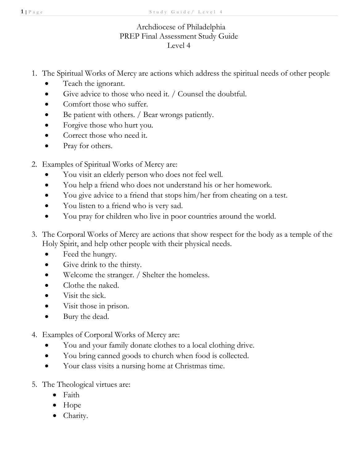## Archdiocese of Philadelphia PREP Final Assessment Study Guide Level 4

- 1. The Spiritual Works of Mercy are actions which address the spiritual needs of other people
	- Teach the ignorant.
	- Give advice to those who need it. / Counsel the doubtful.
	- Comfort those who suffer.
	- Be patient with others. / Bear wrongs patiently.
	- Forgive those who hurt you.
	- Correct those who need it.
	- Pray for others.
- 2. Examples of Spiritual Works of Mercy are:
	- You visit an elderly person who does not feel well.
	- You help a friend who does not understand his or her homework.
	- You give advice to a friend that stops him/her from cheating on a test.
	- You listen to a friend who is very sad.
	- You pray for children who live in poor countries around the world.
- 3. The Corporal Works of Mercy are actions that show respect for the body as a temple of the Holy Spirit, and help other people with their physical needs.
	- Feed the hungry.
	- Give drink to the thirsty.
	- Welcome the stranger. / Shelter the homeless.
	- Clothe the naked.
	- Visit the sick.
	- Visit those in prison.
	- Bury the dead.
- 4. Examples of Corporal Works of Mercy are:
	- You and your family donate clothes to a local clothing drive.
	- You bring canned goods to church when food is collected.
	- Your class visits a nursing home at Christmas time.
- 5. The Theological virtues are:
	- Faith
	- Hope
	- Charity.